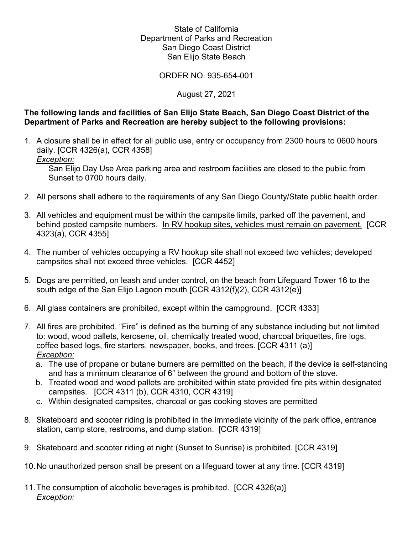# State of California Department of Parks and Recreation San Diego Coast District San Elijo State Beach

ORDER NO. 935-654-001

## August 27, 2021

## **The following lands and facilities of San Elijo State Beach, San Diego Coast District of the Department of Parks and Recreation are hereby subject to the following provisions:**

1. A closure shall be in effect for all public use, entry or occupancy from 2300 hours to 0600 hours daily. [CCR 4326(a), CCR 4358]

*Exception:*

San Elijo Day Use Area parking area and restroom facilities are closed to the public from Sunset to 0700 hours daily.

- 2. All persons shall adhere to the requirements of any San Diego County/State public health order.
- 3. All vehicles and equipment must be within the campsite limits, parked off the pavement, and behind posted campsite numbers. In RV hookup sites, vehicles must remain on pavement. [CCR 4323(a), CCR 4355]
- 4. The number of vehicles occupying a RV hookup site shall not exceed two vehicles; developed campsites shall not exceed three vehicles. [CCR 4452]
- 5. Dogs are permitted, on leash and under control, on the beach from Lifeguard Tower 16 to the south edge of the San Elijo Lagoon mouth [CCR 4312(f)(2), CCR 4312(e)]
- 6. All glass containers are prohibited, except within the campground. [CCR 4333]
- 7. All fires are prohibited. "Fire" is defined as the burning of any substance including but not limited to: wood, wood pallets, kerosene, oil, chemically treated wood, charcoal briquettes, fire logs, coffee based logs, fire starters, newspaper, books, and trees. [CCR 4311 (a)] *Exception:*
	- a. The use of propane or butane burners are permitted on the beach, if the device is self-standing and has a minimum clearance of 6" between the ground and bottom of the stove.
	- b. Treated wood and wood pallets are prohibited within state provided fire pits within designated campsites. [CCR 4311 (b), CCR 4310, CCR 4319]
	- c. Within designated campsites, charcoal or gas cooking stoves are permitted
- 8. Skateboard and scooter riding is prohibited in the immediate vicinity of the park office, entrance station, camp store, restrooms, and dump station. [CCR 4319]
- 9. Skateboard and scooter riding at night (Sunset to Sunrise) is prohibited. [CCR 4319]
- 10.No unauthorized person shall be present on a lifeguard tower at any time. [CCR 4319]
- 11.The consumption of alcoholic beverages is prohibited. [CCR 4326(a)] *Exception:*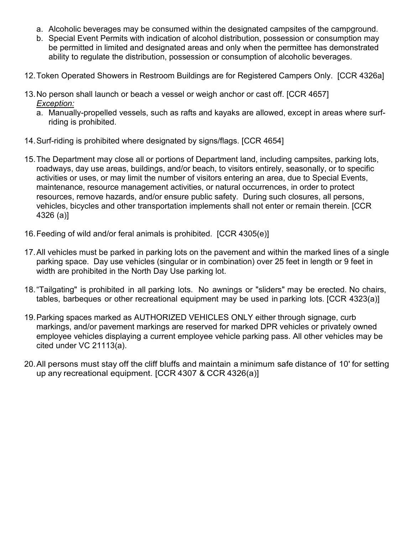- a. Alcoholic beverages may be consumed within the designated campsites of the campground.
- b. Special Event Permits with indication of alcohol distribution, possession or consumption may be permitted in limited and designated areas and only when the permittee has demonstrated ability to regulate the distribution, possession or consumption of alcoholic beverages.
- 12.Token Operated Showers in Restroom Buildings are for Registered Campers Only. [CCR 4326a]
- 13.No person shall launch or beach a vessel or weigh anchor or cast off. [CCR 4657] *Exception:*
	- a. Manually-propelled vessels, such as rafts and kayaks are allowed, except in areas where surfriding is prohibited.
- 14.Surf-riding is prohibited where designated by signs/flags. [CCR 4654]
- 15.The Department may close all or portions of Department land, including campsites, parking lots, roadways, day use areas, buildings, and/or beach, to visitors entirely, seasonally, or to specific activities or uses, or may limit the number of visitors entering an area, due to Special Events, maintenance, resource management activities, or natural occurrences, in order to protect resources, remove hazards, and/or ensure public safety. During such closures, all persons, vehicles, bicycles and other transportation implements shall not enter or remain therein. [CCR 4326 (a)]
- 16.Feeding of wild and/or feral animals is prohibited. [CCR 4305(e)]
- 17.All vehicles must be parked in parking lots on the pavement and within the marked lines of a single parking space. Day use vehicles (singular or in combination) over 25 feet in length or 9 feet in width are prohibited in the North Day Use parking lot.
- 18."Tailgating" is prohibited in all parking lots. No awnings or "sliders" may be erected. No chairs, tables, barbeques or other recreational equipment may be used in parking lots. [CCR 4323(a)]
- 19.Parking spaces marked as AUTHORIZED VEHICLES ONLY either through signage, curb markings, and/or pavement markings are reserved for marked DPR vehicles or privately owned employee vehicles displaying a current employee vehicle parking pass. All other vehicles may be cited under VC 21113(a).
- 20.All persons must stay off the cliff bluffs and maintain a minimum safe distance of 10' for setting up any recreational equipment. [CCR 4307 & CCR 4326(a)]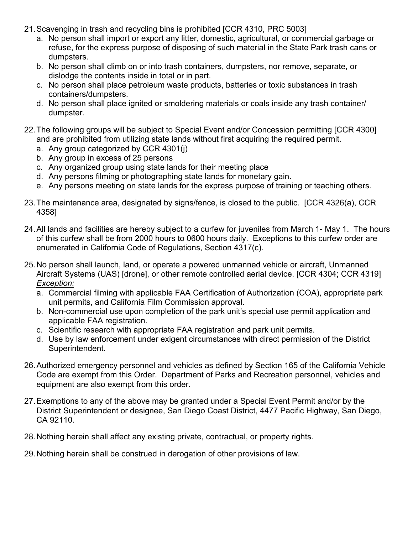- 21.Scavenging in trash and recycling bins is prohibited [CCR 4310, PRC 5003]
	- a. No person shall import or export any litter, domestic, agricultural, or commercial garbage or refuse, for the express purpose of disposing of such material in the State Park trash cans or dumpsters.
	- b. No person shall climb on or into trash containers, dumpsters, nor remove, separate, or dislodge the contents inside in total or in part.
	- c. No person shall place petroleum waste products, batteries or toxic substances in trash containers/dumpsters.
	- d. No person shall place ignited or smoldering materials or coals inside any trash container/ dumpster.
- 22.The following groups will be subject to Special Event and/or Concession permitting [CCR 4300] and are prohibited from utilizing state lands without first acquiring the required permit.
	- a. Any group categorized by CCR 4301(j)
	- b. Any group in excess of 25 persons
	- c. Any organized group using state lands for their meeting place
	- d. Any persons filming or photographing state lands for monetary gain.
	- e. Any persons meeting on state lands for the express purpose of training or teaching others.
- 23.The maintenance area, designated by signs/fence, is closed to the public. [CCR 4326(a), CCR 4358]
- 24.All lands and facilities are hereby subject to a curfew for juveniles from March 1- May 1. The hours of this curfew shall be from 2000 hours to 0600 hours daily. Exceptions to this curfew order are enumerated in California Code of Regulations, Section 4317(c).
- 25.No person shall launch, land, or operate a powered unmanned vehicle or aircraft, Unmanned Aircraft Systems (UAS) [drone], or other remote controlled aerial device. [CCR 4304; CCR 4319] *Exception:*
	- a. Commercial filming with applicable FAA Certification of Authorization (COA), appropriate park unit permits, and California Film Commission approval.
	- b. Non-commercial use upon completion of the park unit's special use permit application and applicable FAA registration.
	- c. Scientific research with appropriate FAA registration and park unit permits.
	- d. Use by law enforcement under exigent circumstances with direct permission of the District Superintendent.
- 26.Authorized emergency personnel and vehicles as defined by Section 165 of the California Vehicle Code are exempt from this Order. Department of Parks and Recreation personnel, vehicles and equipment are also exempt from this order.
- 27.Exemptions to any of the above may be granted under a Special Event Permit and/or by the District Superintendent or designee, San Diego Coast District, 4477 Pacific Highway, San Diego, CA 92110.
- 28.Nothing herein shall affect any existing private, contractual, or property rights.
- 29.Nothing herein shall be construed in derogation of other provisions of law.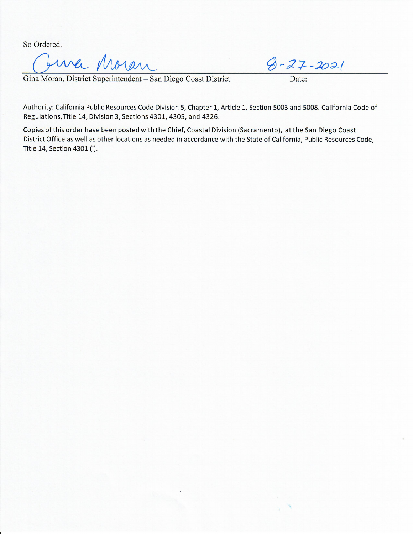So Ordered.

So Ordered.<br>
Gina Moran, District Superintendent – San Diego Coast District Date:<br>
Date:

Authority: California Public Resources Code Division 5, Chapter 1, Article 1, Section 5003 and 5008. California Code of Regulations, Title 14, Division 3, Sections 4301, 4305, and 4326.

Copies of this order have been posted with the Chief, Coastal Division (Sacramento), at the San Diego Coast District Office as well as other locations as needed in accordance with the State of California, Public Resources Code, Title 14, Section 4301 (i).